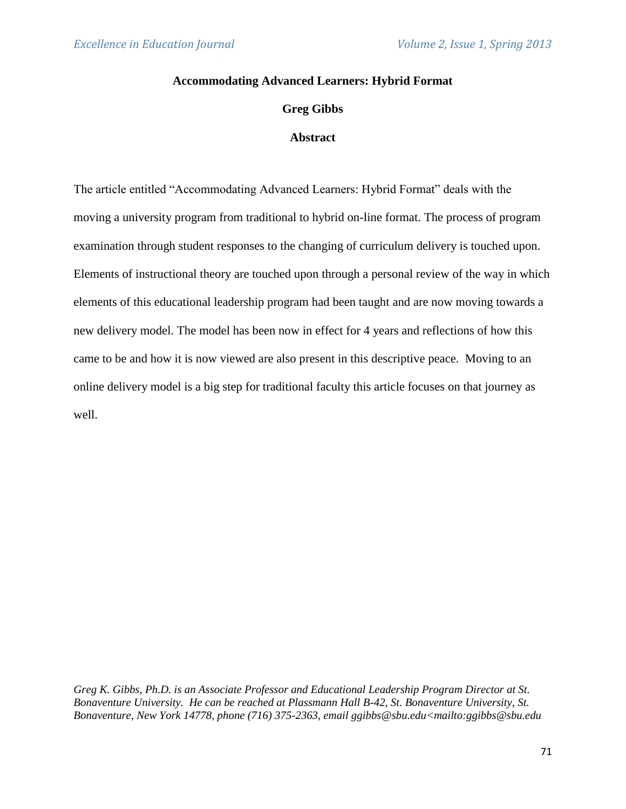## **Accommodating Advanced Learners: Hybrid Format**

## **Greg Gibbs**

## **Abstract**

The article entitled "Accommodating Advanced Learners: Hybrid Format" deals with the moving a university program from traditional to hybrid on-line format. The process of program examination through student responses to the changing of curriculum delivery is touched upon. Elements of instructional theory are touched upon through a personal review of the way in which elements of this educational leadership program had been taught and are now moving towards a new delivery model. The model has been now in effect for 4 years and reflections of how this came to be and how it is now viewed are also present in this descriptive peace. Moving to an online delivery model is a big step for traditional faculty this article focuses on that journey as well.

*Greg K. Gibbs, Ph.D. is an Associate Professor and Educational Leadership Program Director at St. Bonaventure University. He can be reached at Plassmann Hall B-42, St. Bonaventure University, St. Bonaventure, New York 14778, phone (716) 375-2363, email ggibbs@sbu.edu<mailto:ggibbs@sbu.edu*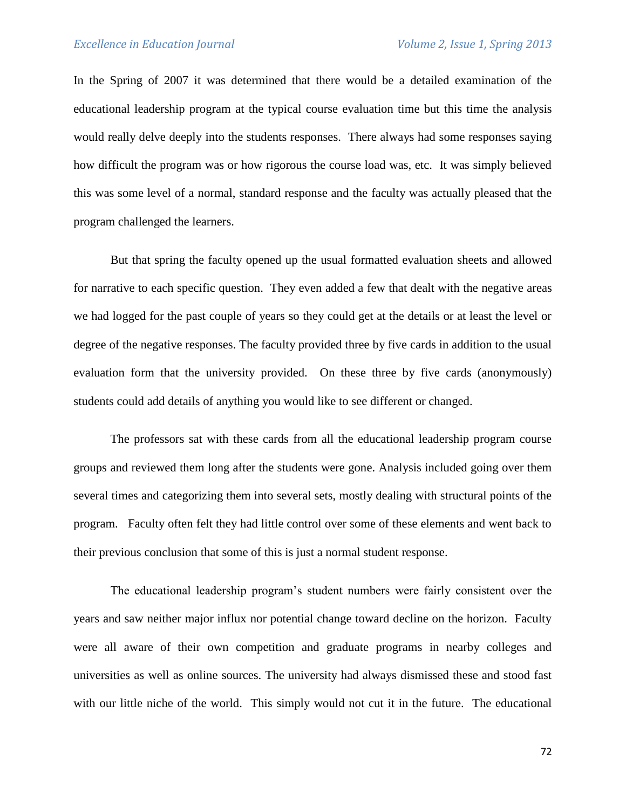In the Spring of 2007 it was determined that there would be a detailed examination of the educational leadership program at the typical course evaluation time but this time the analysis would really delve deeply into the students responses. There always had some responses saying how difficult the program was or how rigorous the course load was, etc. It was simply believed this was some level of a normal, standard response and the faculty was actually pleased that the program challenged the learners.

But that spring the faculty opened up the usual formatted evaluation sheets and allowed for narrative to each specific question. They even added a few that dealt with the negative areas we had logged for the past couple of years so they could get at the details or at least the level or degree of the negative responses. The faculty provided three by five cards in addition to the usual evaluation form that the university provided. On these three by five cards (anonymously) students could add details of anything you would like to see different or changed.

The professors sat with these cards from all the educational leadership program course groups and reviewed them long after the students were gone. Analysis included going over them several times and categorizing them into several sets, mostly dealing with structural points of the program. Faculty often felt they had little control over some of these elements and went back to their previous conclusion that some of this is just a normal student response.

The educational leadership program's student numbers were fairly consistent over the years and saw neither major influx nor potential change toward decline on the horizon. Faculty were all aware of their own competition and graduate programs in nearby colleges and universities as well as online sources. The university had always dismissed these and stood fast with our little niche of the world. This simply would not cut it in the future. The educational

72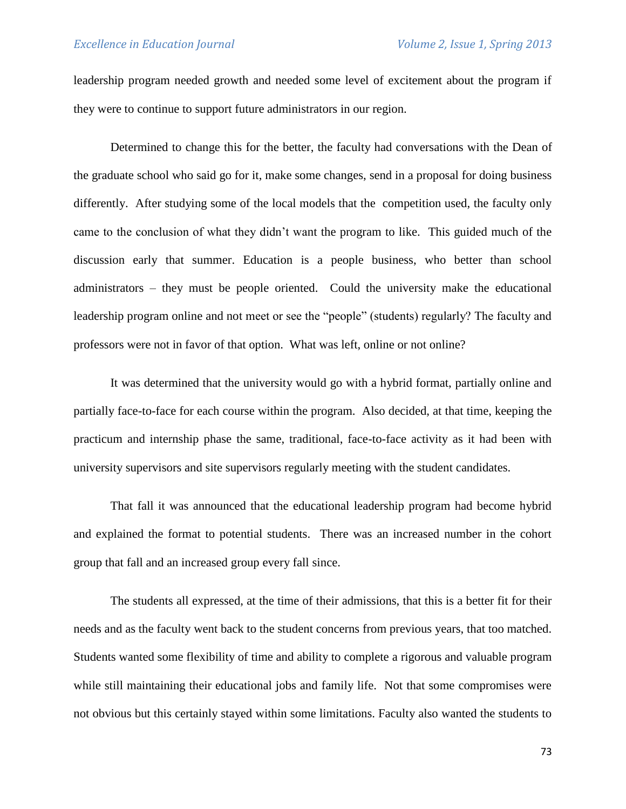leadership program needed growth and needed some level of excitement about the program if they were to continue to support future administrators in our region.

Determined to change this for the better, the faculty had conversations with the Dean of the graduate school who said go for it, make some changes, send in a proposal for doing business differently. After studying some of the local models that the competition used, the faculty only came to the conclusion of what they didn't want the program to like. This guided much of the discussion early that summer. Education is a people business, who better than school administrators – they must be people oriented. Could the university make the educational leadership program online and not meet or see the "people" (students) regularly? The faculty and professors were not in favor of that option. What was left, online or not online?

It was determined that the university would go with a hybrid format, partially online and partially face-to-face for each course within the program. Also decided, at that time, keeping the practicum and internship phase the same, traditional, face-to-face activity as it had been with university supervisors and site supervisors regularly meeting with the student candidates.

That fall it was announced that the educational leadership program had become hybrid and explained the format to potential students. There was an increased number in the cohort group that fall and an increased group every fall since.

The students all expressed, at the time of their admissions, that this is a better fit for their needs and as the faculty went back to the student concerns from previous years, that too matched. Students wanted some flexibility of time and ability to complete a rigorous and valuable program while still maintaining their educational jobs and family life. Not that some compromises were not obvious but this certainly stayed within some limitations. Faculty also wanted the students to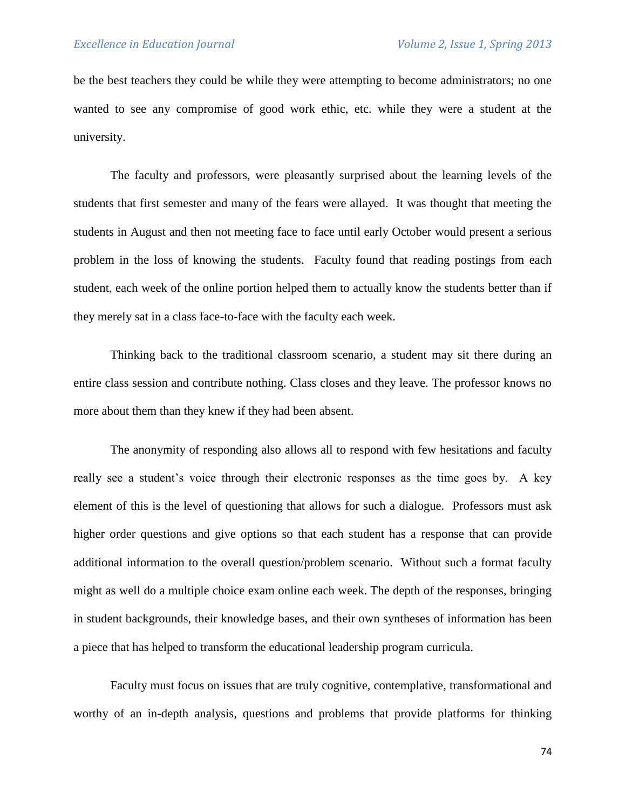be the best teachers they could be while they were attempting to become administrators; no one wanted to see any compromise of good work ethic, etc. while they were a student at the university.

The faculty and professors, were pleasantly surprised about the learning levels of the students that first semester and many of the fears were allayed. It was thought that meeting the students in August and then not meeting face to face until early October would present a serious problem in the loss of knowing the students. Faculty found that reading postings from each student, each week of the online portion helped them to actually know the students better than if they merely sat in a class face-to-face with the faculty each week.

Thinking back to the traditional classroom scenario, a student may sit there during an entire class session and contribute nothing. Class closes and they leave. The professor knows no more about them than they knew if they had been absent.

The anonymity of responding also allows all to respond with few hesitations and faculty really see a student's voice through their electronic responses as the time goes by. A key element of this is the level of questioning that allows for such a dialogue. Professors must ask higher order questions and give options so that each student has a response that can provide additional information to the overall question/problem scenario. Without such a format faculty might as well do a multiple choice exam online each week. The depth of the responses, bringing in student backgrounds, their knowledge bases, and their own syntheses of information has been a piece that has helped to transform the educational leadership program curricula.

Faculty must focus on issues that are truly cognitive, contemplative, transformational and worthy of an in-depth analysis, questions and problems that provide platforms for thinking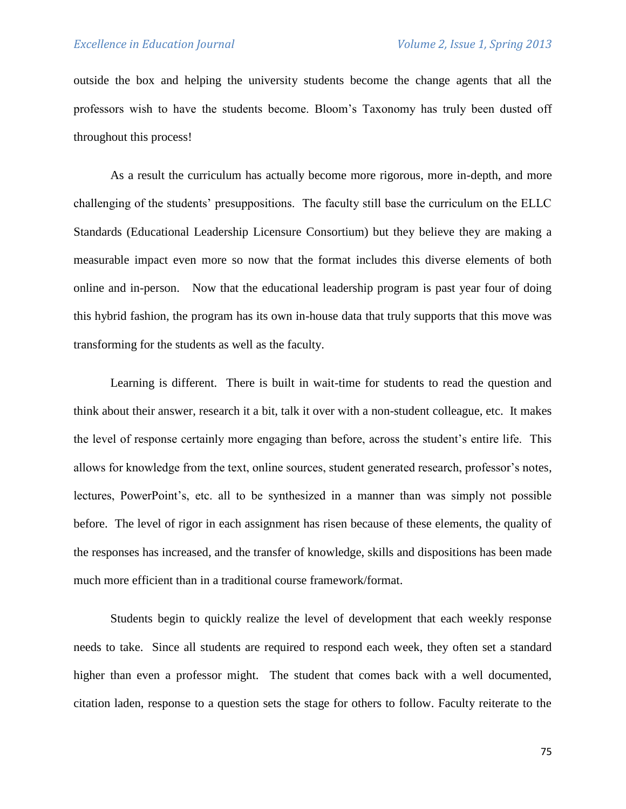outside the box and helping the university students become the change agents that all the professors wish to have the students become. Bloom's Taxonomy has truly been dusted off throughout this process!

As a result the curriculum has actually become more rigorous, more in-depth, and more challenging of the students' presuppositions. The faculty still base the curriculum on the ELLC Standards (Educational Leadership Licensure Consortium) but they believe they are making a measurable impact even more so now that the format includes this diverse elements of both online and in-person. Now that the educational leadership program is past year four of doing this hybrid fashion, the program has its own in-house data that truly supports that this move was transforming for the students as well as the faculty.

Learning is different. There is built in wait-time for students to read the question and think about their answer, research it a bit, talk it over with a non-student colleague, etc. It makes the level of response certainly more engaging than before, across the student's entire life. This allows for knowledge from the text, online sources, student generated research, professor's notes, lectures, PowerPoint's, etc. all to be synthesized in a manner than was simply not possible before. The level of rigor in each assignment has risen because of these elements, the quality of the responses has increased, and the transfer of knowledge, skills and dispositions has been made much more efficient than in a traditional course framework/format.

Students begin to quickly realize the level of development that each weekly response needs to take. Since all students are required to respond each week, they often set a standard higher than even a professor might. The student that comes back with a well documented, citation laden, response to a question sets the stage for others to follow. Faculty reiterate to the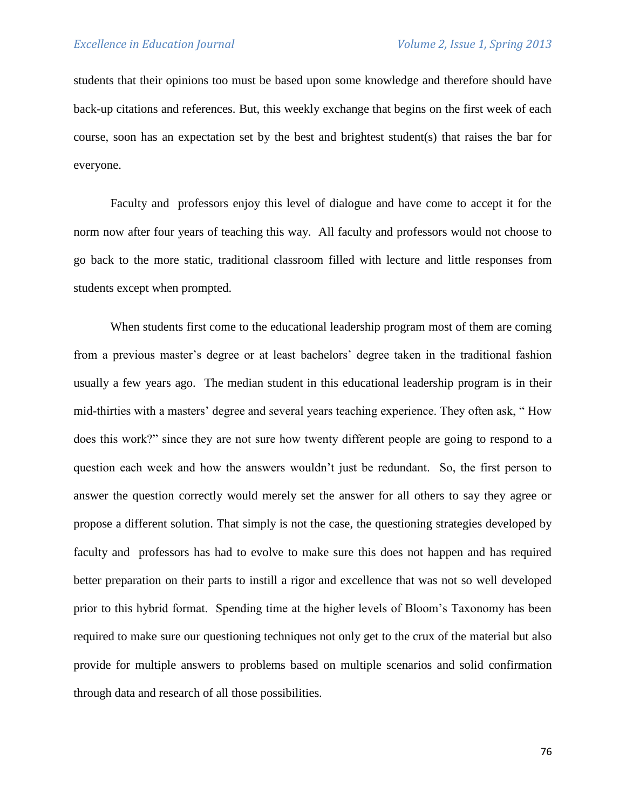students that their opinions too must be based upon some knowledge and therefore should have back-up citations and references. But, this weekly exchange that begins on the first week of each course, soon has an expectation set by the best and brightest student(s) that raises the bar for everyone.

Faculty and professors enjoy this level of dialogue and have come to accept it for the norm now after four years of teaching this way. All faculty and professors would not choose to go back to the more static, traditional classroom filled with lecture and little responses from students except when prompted.

When students first come to the educational leadership program most of them are coming from a previous master's degree or at least bachelors' degree taken in the traditional fashion usually a few years ago. The median student in this educational leadership program is in their mid-thirties with a masters' degree and several years teaching experience. They often ask, " How does this work?" since they are not sure how twenty different people are going to respond to a question each week and how the answers wouldn't just be redundant. So, the first person to answer the question correctly would merely set the answer for all others to say they agree or propose a different solution. That simply is not the case, the questioning strategies developed by faculty and professors has had to evolve to make sure this does not happen and has required better preparation on their parts to instill a rigor and excellence that was not so well developed prior to this hybrid format. Spending time at the higher levels of Bloom's Taxonomy has been required to make sure our questioning techniques not only get to the crux of the material but also provide for multiple answers to problems based on multiple scenarios and solid confirmation through data and research of all those possibilities.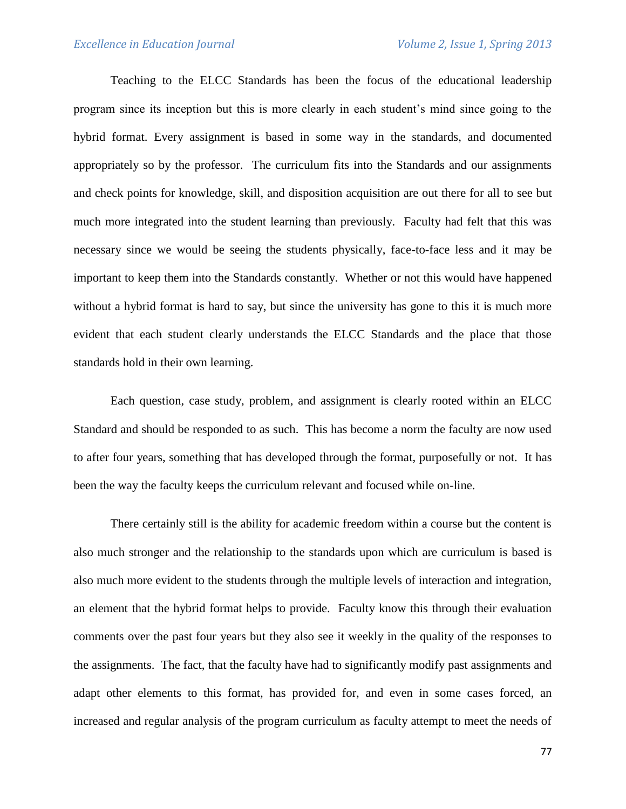Teaching to the ELCC Standards has been the focus of the educational leadership program since its inception but this is more clearly in each student's mind since going to the hybrid format. Every assignment is based in some way in the standards, and documented appropriately so by the professor. The curriculum fits into the Standards and our assignments and check points for knowledge, skill, and disposition acquisition are out there for all to see but much more integrated into the student learning than previously. Faculty had felt that this was necessary since we would be seeing the students physically, face-to-face less and it may be important to keep them into the Standards constantly. Whether or not this would have happened without a hybrid format is hard to say, but since the university has gone to this it is much more evident that each student clearly understands the ELCC Standards and the place that those standards hold in their own learning.

Each question, case study, problem, and assignment is clearly rooted within an ELCC Standard and should be responded to as such. This has become a norm the faculty are now used to after four years, something that has developed through the format, purposefully or not. It has been the way the faculty keeps the curriculum relevant and focused while on-line.

There certainly still is the ability for academic freedom within a course but the content is also much stronger and the relationship to the standards upon which are curriculum is based is also much more evident to the students through the multiple levels of interaction and integration, an element that the hybrid format helps to provide. Faculty know this through their evaluation comments over the past four years but they also see it weekly in the quality of the responses to the assignments. The fact, that the faculty have had to significantly modify past assignments and adapt other elements to this format, has provided for, and even in some cases forced, an increased and regular analysis of the program curriculum as faculty attempt to meet the needs of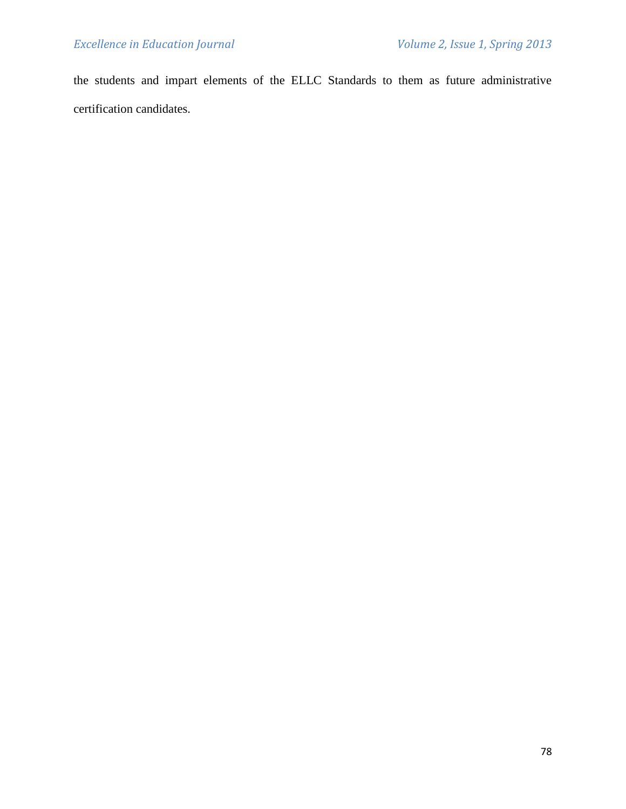the students and impart elements of the ELLC Standards to them as future administrative certification candidates.